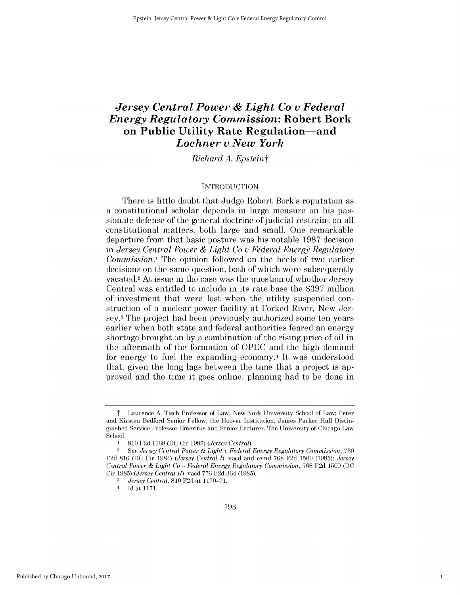# *Jersey Central Power & Light Co v Federal Energy Regulatory Commission:* **Robert Bork on Public Utility Rate Regulation-and** *Lochner v New York*

*Richard A. Epsteint*

### **INTRODUCTION**

There is little doubt that Judge Robert Bork's reputation as a constitutional scholar depends in large measure on his passionate defense of the general doctrine of judicial restraint on all constitutional matters, both large and small. One remarkable departure from that basic posture was his notable **1987** decision *in Jersey Central Power & Light Co v Federal Energy Regulatory Commission.*<sup>1</sup> The opinion followed on the heels of two earlier decisions on the same question, both of which were subsequently vacated.2 At issue in the case was the question of whether Jersey Central was entitled to include in its rate base the **\$397** million of investment that were lost when the utility suspended construction of a nuclear power facility at Forked River, New Jersey.3 The project had been previously authorized some ten years earlier when both state and federal authorities feared an energy shortage brought on **by** a combination of the rising price of oil in the aftermath of the formation of **OPEC** and the **high** demand for energy to fuel the expanding economy.<sup>4</sup> It was understood that, given the long lags between the time that a project is approved and the time it goes online, planning had to be done in

1

t Laurence **A.** Tisch Professor of Law, New York University School of Law; Peter and Kirsten Bedford Senior Fellow, the Hoover Institution; James Parker Hall Distinguished Service Professor Emeritus and Senior Lecturer, The University of Chicago Law School.

**<sup>1</sup>810 F2d 1168 (DC** Cir **1987)** *(Jersey Central).*

<sup>2</sup>**See** *Jersey Central Power & Light u Federal Energy Regulatory Commission,* **730 F2d 816 (DC** Cir 1984) *(Jersey Central 1),* vacd and remd **768 F2d 1500 (1985);** *Jersey Central Power & Light Co u Federal Energy Regulatory Commission,* **768 F2d 1500 (DC** Cir **1985)** *(Jersey Central II),* vacd **776 F2d** 364 **(1985).**

**<sup>3</sup>** *Jersey Central, 810* **F2d** at **1170-71.**

<sup>4</sup>**Id** at **1171.**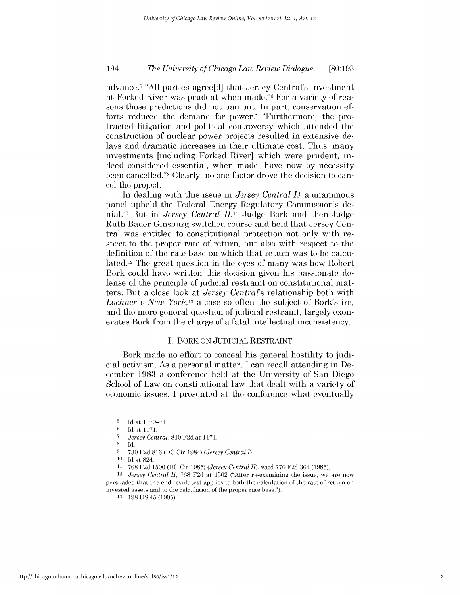## *The University of Chicago Law Review Dialogue* 194 **[80:193**

advance.5 **"All** parties agree[d] that Jersey Central's investment at Forked River was prudent when made."6 For a variety of reasons those predictions **did** not pan out. In part, conservation efforts reduced the demand for power.<sup>7</sup> "Furthermore, the protracted litigation and political controversy which attended the construction of nuclear power projects resulted in extensive delays and dramatic increases in their ultimate cost. Thus, many investments [including Forked River] which were prudent, indeed considered essential, when made, have now **by** necessity been cancelled."8 Clearly, no one factor drove the decision to cancel the project.

In dealing with this issue in *Jersey Central I,9* a unanimous panel upheld the Federal Energy Regulatory Commission's denial.1o But in *Jersey Central* **II,11** Judge Bork and then-Judge Ruth Bader Ginsburg switched course and held that Jersey Central was entitled to constitutional protection not only with respect to the proper rate of return, but also with respect to the definition of the rate base on which that return was to be calculated.12 The great question in the eyes of many was how Robert Bork could have written this decision given his passionate defense of the principle of judicial restraint on constitutional matters. But a close look at *Jersey Central's* relationship both with *Lochner v New York,13* a case so often the subject of Bork's ire, and the more general question of judicial restraint, largely exonerates Bork from the charge of a fatal intellectual inconsistency.

### **I.** BORK **ON** JUDICIAL RESTRAINT

Bork made no effort to conceal his general hostility to judicial activism. As a personal matter, **I** can recall attending in December **1983** a conference held at the University of San Diego School of Law on constitutional law that dealt with a variety of economic issues. **I** presented at the conference what eventually

 $\frac{5}{6}$  **Id at 1170–71.**<br>**6 Id at 1171** 

**<sup>6</sup>Id** at **1171.**

**<sup>7</sup>***Jersey Central, 810* **F2d** at **1171.**

**<sup>8</sup>Id.**

**<sup>9</sup> 730 F2d 816 (DC** Cir 1984) *(Jersey Central 1).*

**<sup>10</sup> Id** at 824.

**<sup>11</sup> 768 F2d 1500 (DC** Cir **1985)** *(Jersey Central II),* vacd **776 F2d** 364 **(1985).**

<sup>12</sup>*Jersey Central II,* **768 F2d** at **1502** ("After re-examining the issue, we are now persuaded that the end result test applies to both the calculation of the rate of return on invested assets and to the calculation of the proper rate base.").

**<sup>13</sup> 198 US** 45 **(1905).**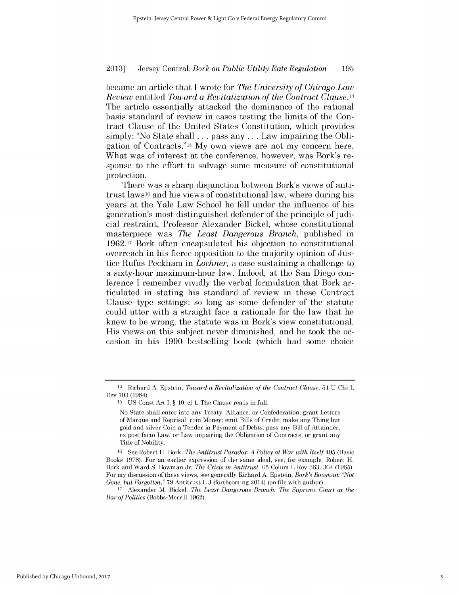became an article that **I** wrote for *The University of Chicago Law Review entitled Toward a Revitalization of the Contract Clause.14* The article essentially attacked the dominance of the rational basis standard of review in cases testing the limits of the Contract Clause of the United States Constitution, which provides simply: "No State shall **...** pass any **. ..** Law impairing the **Obli**gation of Contracts." **15My** own views are not my concern here. What was of interest at the conference, however, was Bork's response to the effort to salvage some measure of constitutional protection.

There was a sharp disjunction between Bork's views of antitrust laws16 and his views of constitutional law, where during his years at the Yale Law School he fell under the influence of his generation's most distinguished defender of the principle of judicial restraint, Professor Alexander Bickel, whose constitutional masterpiece was *The Least Dangerous Branch,* published in **1962.17** Bork often encapsulated his objection to constitutional overreach in his fierce opposition to the majority opinion of Justice Rufus Peckham in *Lochner,* a case sustaining a challenge to a sixty-hour maximum-hour law. Indeed, at the San Diego conference **I** remember vividly the verbal formulation that Bork articulated in stating his standard of review in these Contract Clause-type settings: so long as some defender of the statute could utter with a straight face a rationale for the law that he knew to be wrong, the statute was in Bork's view constitutional. His views on this subject never diminished, and he took the occasion in his **1990** bestselling book (which had some choice

<sup>14</sup> Richard **A.** Epstein, *Toward a Revitalization of the Contract Clause,* **51 U** Chi L Rev **703** (1984).

**<sup>15</sup> US** Const Art **I, § 10, cl 1.** The Clause reads in full:

No State shall enter into any Treaty, Alliance, or Confederation; grant Letters of Marque and Reprisal; coin Money; emit Bills of Credit; make any Thing but gold and silver Coin a Tender in Payment of Debts; pass any Bill of Attainder, ex post facto Law, or Law impairing the Obligation of Contracts, or grant any Title of Nobility.

**<sup>16</sup>**See Robert H. Bork, *The Antitrust Paradox: A Policy at War with Itself* 405 (Basic Books **1978).** For an earlier expression of the same ideal, see, for example, Robert H. Bork and Ward **S.** Bowman Jr, *The Crisis in Antitrust,* **65** Colum L Rev **363,** 364 **(1965).** For my discussion of these views, see generally Richard **A.** Epstein, *Bork's Bowman: "Not Gone, but Forgotten,"* **79** Antitrust L **J** (forthcoming 2014) (on file with author).

**<sup>17</sup>**Alexander M. Bickel, *The Least Dangerous Branch: The Supreme Court at the Bar of Politics* (Bobbs-Merrill **1962).**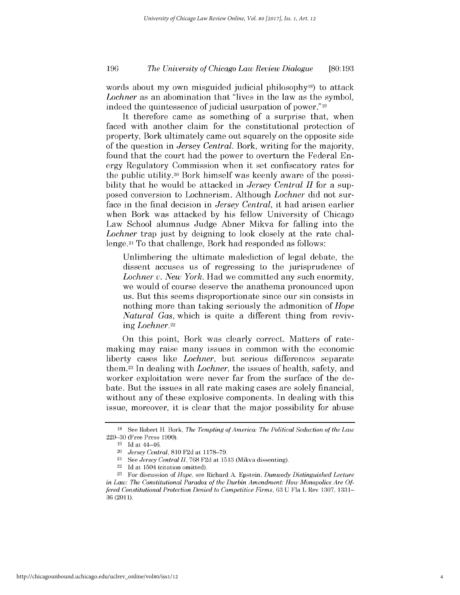## *The University of Chicago Law Review Dialogue* **196 [80:193**

words about my own misguided judicial philosophy<sup>18</sup>) to attack *Lochner* as an abomination that "lives in the law as the symbol, indeed the quintessence of judicial usurpation of power."19

It therefore came as something of a surprise that, when faced with another claim for the constitutional protection of property, Bork ultimately came out squarely on the opposite side of the question in *Jersey Central.* Bork, writing for the majority, found that the court had the power to overturn the Federal Energy Regulatory Commission when it set confiscatory rates for the public utility.20 Bork himself was keenly aware of the possibility that he would be attacked in *Jersey Central H* for a supposed conversion to Lochnerism. Although *Lochner* **did** not surface in the final decision in *Jersey Central,* it had arisen earlier when Bork was attacked **by** his fellow University of Chicago Law School alumnus Judge Abner Mikva for falling into the *Lochner* trap just **by** deigning to look closely at the rate challenge.21 To that challenge, Bork had responded as follows:

Unlimbering the ultimate malediction of legal debate, the dissent accuses us of regressing to the jurisprudence of *Lochner v. New York.* Had we committed any such enormity, we would of course deserve the anathema pronounced upon us. But this seems disproportionate since our sin consists in nothing more than taking seriously the admonition of *Hope Natural Gas,* which is quite a different thing from reviving *Lochner.22*

On this point, Bork was clearly correct. Matters of ratemaking may raise many issues in common with the economic liberty cases like *Lochner,* but serious differences separate them.23 In dealing with *Lochner, the* issues of health, safety, and worker exploitation were never far from the surface of the debate. But the issues in all rate making cases are solely financial, without any of these explosive components. In dealing with this issue, moreover, it is clear that the major possibility for abuse

**<sup>18</sup> See** Robert H. Bork, *The Tempting of America: The Political Seduction of the Law* **229-30** (Free Press **1990).**

**<sup>19</sup>**Id at 44-46.

<sup>20</sup>*Jersey Central,* **810 F2d** at **1178-79.**

<sup>21</sup>*See Jersey Central II,* **768 F2d** at **1513** (Mikva dissenting).

<sup>22</sup>**Id** at 1504 (citation omitted).

**<sup>23</sup>**For discussion of *Hope,* see Richard **A.** Epstein, *Dunwody Distinguished Lecture in Law: The Constitutional Paradox of the Durbin Amendment: How Monopolies Are Offered Constitutional Protection Denied to Competitive Firms,* **63 U** Fla L Rev **1307, 1331- 36(2011).**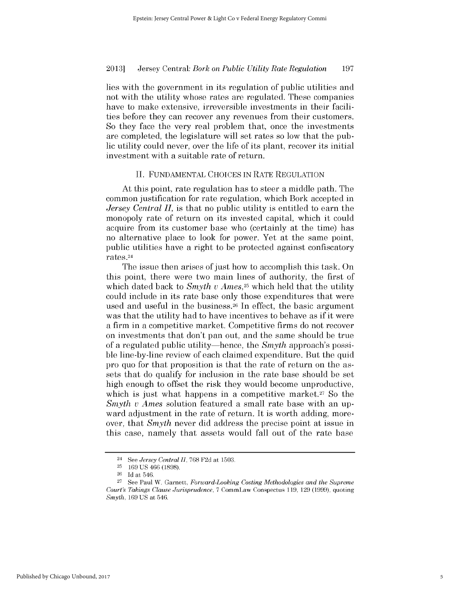lies with the government in its regulation of public utilities and not with the utility whose rates are regulated. These companies have to make extensive, irreversible investments in their facilities before they can recover any revenues from their customers. So they face the very real problem that, once the investments are completed, the legislature will set rates so low that the pub**lic** utility could never, over the life of its plant, recover its initial investment with a suitable rate of return.

#### **II. FUNDAMENTAL CHOICES IN** RATE **REGULATION**

At this point, rate regulation has to steer a middle path. The common justification for rate regulation, which Bork accepted in *Jersey Central II,* is that no public utility is entitled to earn the monopoly rate of return on its invested capital, which it could acquire from its customer base who (certainly at the time) has no alternative place to look for power. Yet at the same point, public utilities have a right to be protected against confiscatory rates.24

The issue then arises of just how to accomplish this task. On this point, there were two main lines of authority, the first of which dated back to *Smyth v Ames*,<sup>25</sup> which held that the utility could include in its rate base only those expenditures that were used and useful in the business.26 In effect, the basic argument was that the utility had to have incentives to behave as **if** it were a firm in a competitive market. Competitive firms do not recover on investments that don't pan out, and the same should be true of a regulated public utility-hence, the *Smyth* approach's possible line-by-line review of each claimed expenditure. But the quid pro quo for that proposition is that the rate of return on the assets that do qualify for inclusion in the rate base should be set **high** enough to offset the risk they would become unproductive, which is just what happens in a competitive market.<sup>27</sup> So the *Smyth v Ames* solution featured a small rate base with an upward adjustment in the rate of return. It is worth adding, moreover, that *Smyth* never **did** address the precise point at issue in this case, namely that assets would fall out of the rate base

<sup>24</sup>*See Jersey Central II,* **768 F2d** at **1503.**

**<sup>25</sup>169 US** 466 **(1898).**

**<sup>26</sup>Id** at 546.

**<sup>27</sup>**See Paul W. Garnett, *Forward-Looking Costing Methodologies and the Supreme Court's Takings Clause Jurisprudence,* **7** CommLaw Conspectus **119, 129 (1999),** quoting *Smyth,* **169 US** at 546.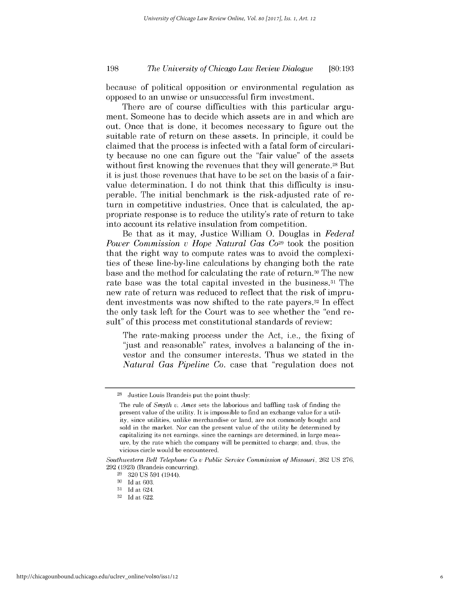## *The University of Chicago Law Review Dialogue* **198 [80:193**

because of political opposition or environmental regulation as opposed to an unwise or unsuccessful firm investment.

There are of course difficulties with this particular argument. Someone has to decide which assets are in and which are out. Once that is done, it becomes necessary to figure out the suitable rate of return on these assets. In principle, it could be claimed that the process is infected with a fatal form of circularity because no one can figure out the "fair value" of the assets without first knowing the revenues that they will generate.<sup>28</sup> But it is just those revenues that have to be set on the basis of a fairvalue determination. **I** do not think that this difficulty is insuperable. The initial benchmark is the risk-adjusted rate of return in competitive industries. Once that is calculated, the appropriate response is to reduce the utility's rate of return to take into account its relative insulation from competition.

Be that as it may, Justice William **0.** Douglas in *Federal Power Commission v Hope Natural Gas Co*<sup>29</sup> took the position that the right way to compute rates was to avoid the complexities of these line-by-line calculations **by** changing both the rate base and the method for calculating the rate of return.<sup>30</sup> The new rate base was the total capital invested in the business.<sup>31</sup> The new rate of return was reduced to reflect that the risk of imprudent investments was now shifted to the rate payers.<sup>32</sup> In effect the only task left for the Court was to see whether the "end result" of this process met constitutional standards of review:

The rate-making process under the Act, i.e., the fixing of "just and reasonable" rates, involves a balancing of the investor and the consumer interests. Thus we stated in the *Natural Gas Pipeline Co.* case that "regulation does not

**<sup>28</sup>**Justice Louis Brandeis put the point thusly:

The rule of *Smyth u. Ames* sets the laborious and baffling task of finding the present value of the utility. It is impossible to find an exchange value for a utility, since utilities, unlike merchandise or land, are not commonly bought and sold in the market. Nor can the present value of the utility be determined **by** capitalizing its net earnings, since the earnings are determined, in large measure, **by** the rate which the company will be permitted to charge; and, thus, the vicious circle would be encountered.

*Southwestern Bell Telephone Co u Public Service Commission of Missouri,* **262 US 276, 292 (1923)** (Brandeis concurring).

**<sup>29 320</sup> US 591** (1944).

**<sup>30</sup> Id** at **603.**

**<sup>31</sup> Id** at 624.

**<sup>32</sup> Id** at 622.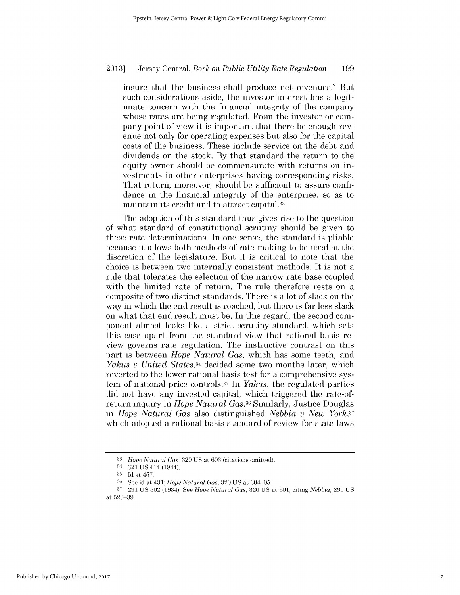insure that the business shall produce net revenues." But such considerations aside, the investor interest has a legitimate concern with the financial integrity of the company whose rates are being regulated. From the investor or company point of view it is important that there be enough revenue not only for operating expenses but also for the capital costs of the business. These include service on the debt and dividends on the stock. **By** that standard the return to the equity owner should be commensurate with returns on investments in other enterprises having corresponding risks. That return, moreover, should be sufficient to assure confidence in the financial integrity of the enterprise, so as to maintain its credit and to attract capital.33

The adoption of this standard thus gives rise to the question of what standard of constitutional scrutiny should be given to these rate determinations. In one sense, the standard is pliable because it allows both methods of rate making to be used at the discretion of the legislature. But it is critical to note that the choice is between two internally consistent methods. It is not a rule that tolerates the selection of the narrow rate base coupled with the limited rate of return. The rule therefore rests on a composite of two distinct standards. There is a lot of slack on the way in which the end result is reached, but there is *far less* slack on what that end result must be. In this regard, the second component almost looks like a strict scrutiny standard, which sets this case apart from the standard view that rational basis review governs rate regulation. The instructive contrast on this part is between *Hope Natural Gas,* which has some teeth, and *Yakus u United States,34* decided some two months later, which reverted to the lower rational basis test for a comprehensive **sys**tem of national price controls.35 In *Yakus,* the regulated parties **did** not have any invested capital, which triggered the rate-ofreturn inquiry in *Hope Natural Gas.36* Similarly, Justice Douglas in *Hope Natural Gas* also distinguished *Nebbia v New York,37* which adopted a rational basis standard of review for state laws

**<sup>33</sup>***Hope Natural Gas,* **320 US** at **603** (citations omitted).

<sup>34</sup> **321 US** 414 (1944).

**<sup>35</sup>Id** at 457.

**<sup>36</sup>**See id at *431; Hope Natural Gas,* **320 US** at 604-05.

**<sup>37 291</sup> US 502** (1934). See *Hope Natural Gas,* **320 US** at **601,** citing *Nebbia,* **291 US** at **523-39.**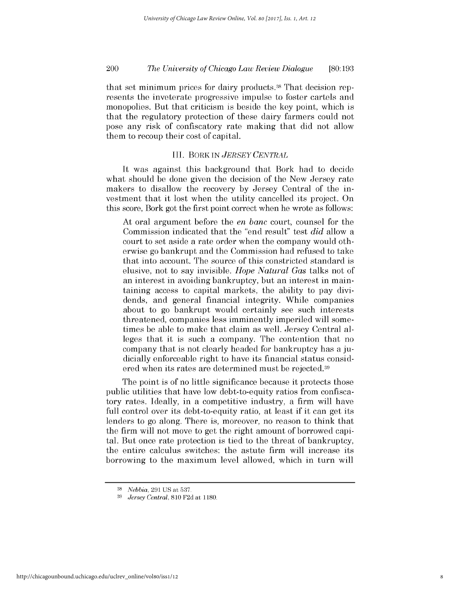## *The University of Chicago Law Review Dialogue* 200 **[80:193**

that set minimum prices for dairy products.38 That decision represents the inveterate progressive impulse to foster cartels and monopolies. But that criticism is beside the key point, which **is** that the regulatory protection of these dairy farmers could not pose any risk of confiscatory rate making that **did** not allow them to recoup their cost of capital.

### III. *BORK IN JERSEY CENTRAL*

It was against this background that Bork had to decide what should be done given the decision of the New Jersey rate makers to disallow the recovery **by** Jersey Central of the investment that it lost when the utility cancelled its project. On this score, Bork got the first point correct when he wrote as follows:

At oral argument before the *en banc* court, counsel for the Commission indicated that the "end result" test *did* allow a court to set aside a rate order when the company would otherwise go bankrupt and the Commission had refused to take that into account. The source of this constricted standard **is** elusive, not to say invisible. *Hope Natural Gas* talks not of an interest in avoiding bankruptcy, but an interest in maintaining access to capital markets, the ability to pay **divi**dends, and general financial integrity. While companies about to go bankrupt would certainly see such interests threatened, companies less imminently imperiled will sometimes be able to make that claim as well. Jersey Central alleges that it *is* such a company. The contention that no company that is not clearly headed for bankruptcy has a **ju**dicially enforceable right to have its financial status considered when its rates are determined must be rejected.39

The point is of no little significance because it protects those public utilities that have low debt-to-equity ratios from confiscatory rates. Ideally, in a competitive industry, a firm will have full control over its debt-to-equity ratio, at least **if** it can get its lenders to go along. There is, moreover, no reason to think that the firm will not move to get the right amount of borrowed capital. But once rate protection is tied to the threat of bankruptcy, the entire calculus switches: the astute firm will increase its borrowing to the maximum level allowed, which in turn will

**<sup>38</sup>***Nebbia,* **291 US** *at* **537.**

*<sup>39</sup>Jersey Central,* **810 F2d** *at* **1180.**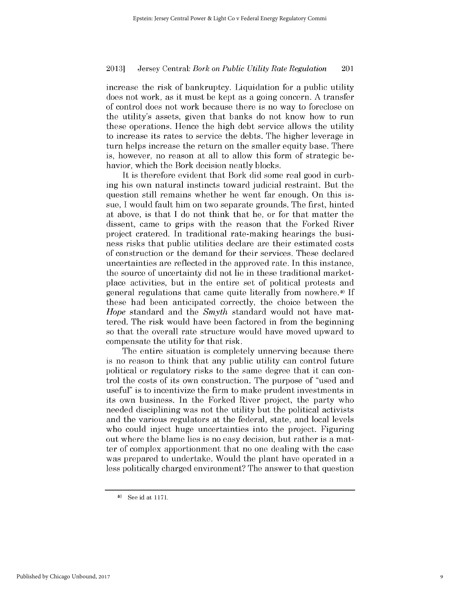increase the risk of bankruptcy. Liquidation for a public utility does not work, as it must be kept as a going concern. **A** transfer of control does not work because there is no way to foreclose on the utility's assets, given that banks do not know how to run these operations. Hence the **high** debt service allows the utility to increase its rates to service the debts. The higher leverage in turn helps increase the return on the smaller equity base. There is, however, no reason at all to allow this form of strategic behavior, which the Bork decision neatly blocks.

It is therefore evident that Bork **did** some real good in curbing his own natural instincts toward judicial restraint. But the question still remains whether he went far enough. On this **is**sue, **I** would fault him on two separate grounds. The first, hinted at above, is that **I** do not think that he, or for that matter the dissent, came to grips with the reason that the Forked River project cratered. In traditional rate-making hearings the busi*ness* risks that public utilities declare are their estimated costs of construction or the demand for their services. These declared uncertainties are reflected in the approved rate. In this instance, the source of uncertainty **did** not lie in these traditional marketplace activities, but in the entire set of political protests and general regulations that came quite literally from nowhere.40 **If** these had been anticipated correctly, the choice between the *Hope* standard and the *Smyth* standard would not have mattered. The risk would have been factored in from the beginning so that the overall rate structure would have moved upward to compensate the utility for that risk.

The entire situation is completely unnerving because there is no reason to think that any public utility can control future political or regulatory risks to the same degree that it can **con**trol the costs of its own construction. The purpose of "used and useful" is to incentivize the firm to make prudent investments in its own business. In the Forked River project, the party who needed disciplining was not the utility but the political activists and the various regulators at the federal, state, and local levels who could inject huge uncertainties into the project. Figuring out where the blame *lies is* no easy decision, but rather is a matter of complex apportionment that no one dealing with the case was prepared to undertake. Would the plant have operated in a less politically charged environment? The answer to that question

**<sup>40</sup> See** id at **1171.**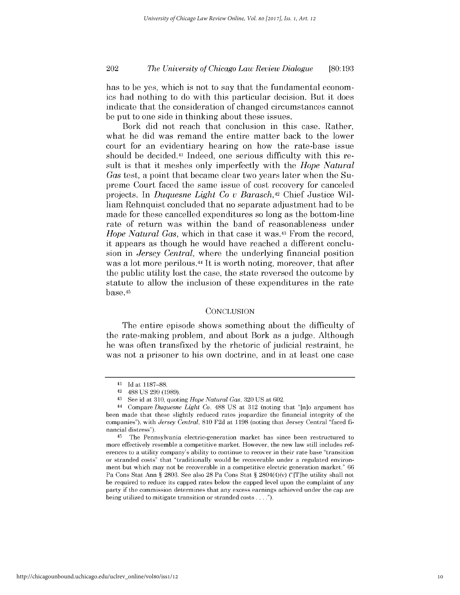## *The University of Chicago Law Review Dialogue* 202 **[80:193**

has to be yes, which is not to say that the fundamental economics had nothing to do with this particular decision. But it does indicate that the consideration of changed circumstances cannot be put to one side in thinking about these issues.

Bork **did** not reach that conclusion in this case. Rather, what he **did** was remand the entire matter back to the lower court for an evidentiary hearing on how the rate-base issue should be decided.41 Indeed, one serious difficulty with this result is that it meshes only imperfectly with the *Hope Natural Gas* test, a point that became clear two years later when the Supreme Court faced the same issue of cost recovery for canceled projects. In *Duquesne Light Co u Barasch,42* Chief Justice William Rehnquist concluded that no separate adjustment had to be made for these cancelled expenditures so long as the bottom-line rate of return was within the band of reasonableness under *Hope Natural Gas,* which in that case it was.43 From the record, it appears as though he would have reached a different conclusion in *Jersey Central,* where the underlying financial position was a lot more perilous.<sup>44</sup> It is worth noting, moreover, that after the public utility lost the case, the state reversed the outcome **by** statute to allow the inclusion of these expenditures in the rate base.45

#### **CONCLUSION**

The entire episode shows something about the difficulty of the rate-making problem, and about Bork as a judge. Although he was often transfixed **by** the rhetoric of judicial restraint, he was not a prisoner to his own doctrine, and in at least one case

**<sup>41</sup> Id** at **1187-88.**

**<sup>42 488</sup> US 299 (1989).**

**<sup>43</sup>**See id at **310,** quoting *Hope Natural Gas,* **320 US** at **602.**

**<sup>44</sup>**Compare *Duquesne Light Co,* **488 US** at **312** (noting that "[n]o argument has been made that these slightly reduced rates jeopardize the financial integrity of the companies"), with *Jersey Central,* **810 F2d** at **1198** (noting that Jersey Central "faced **fi**nancial distress").

**<sup>45</sup>**The Pennsylvania electric-generation market has since been restructured to more effectively resemble a competitive market. However, the new law still includes references to a utility company's ability to continue to recover in their rate base "transition or stranded costs" that "traditionally would be recoverable under a regulated environment but which may not be recoverable in a competitive electric generation market." **66** Pa Cons Stat Ann *§* **2803.** See also **28** Pa Cons Stat *§* 2804(4)(v) ("[T]he utility shall not be required to reduce its capped rates below the capped level upon the complaint of any party if the commission determines that any excess earnings achieved under the cap are being utilized to mitigate transition or stranded costs **. . . .").**